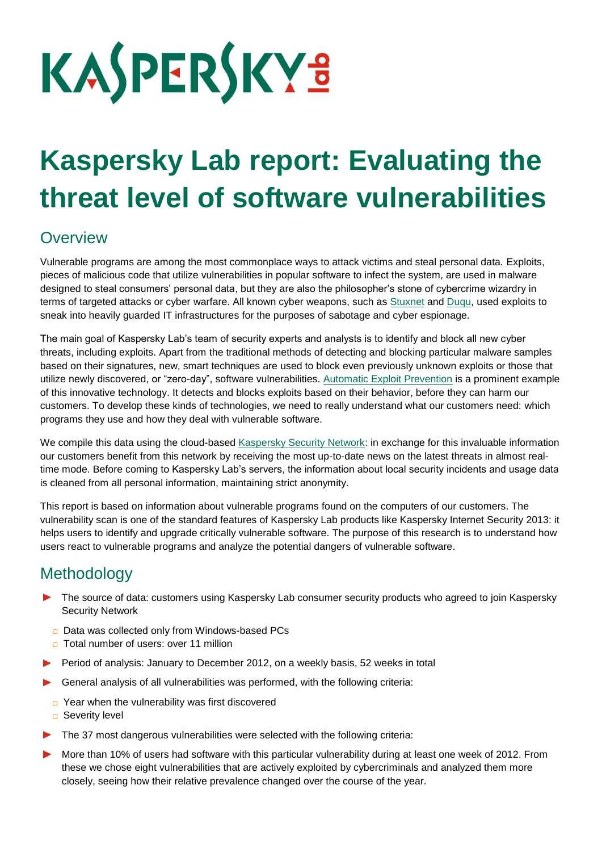# KASPERSKYS

## **Kaspersky Lab report: Evaluating the threat level of software vulnerabilities**

## **Overview**

Vulnerable programs are among the most commonplace ways to attack victims and steal personal data. Exploits, pieces of malicious code that utilize vulnerabilities in popular software to infect the system, are used in malware designed to steal consumers' personal data, but they are also the philosopher's stone of cybercrime wizardry in terms of targeted attacks or cyber warfare. All known cyber weapons, such as **Stuxnet and Duqu**, used exploits to sneak into heavily guarded IT infrastructures for the purposes of sabotage and cyber espionage.

The main goal of Kaspersky Lab's team of security experts and analysts is to identify and block all new cyber threats, including exploits. Apart from the traditional methods of detecting and blocking particular malware samples based on their signatures, new, smart techniques are used to block even previously unknown exploits or those that utilize newly discovered, or "zero-day", software vulnerabilities. [Automatic Exploit Prevention](http://www.kaspersky.com/downloads/pdf/kaspersky_lab_whitepaper_automatic_exploit_prevention_eng_final.pdf) is a prominent example of this innovative technology. It detects and blocks exploits based on their behavior, before they can harm our customers. To develop these kinds of technologies, we need to really understand what our customers need: which programs they use and how they deal with vulnerable software.

We compile this data using the cloud-based [Kaspersky Security Network:](http://www.kaspersky.com/images/KES8_Whitepaper_4_KSN.pdf) in exchange for this invaluable information our customers benefit from this network by receiving the most up-to-date news on the latest threats in almost realtime mode. Before coming to Kaspersky Lab's servers, the information about local security incidents and usage data is cleaned from all personal information, maintaining strict anonymity.

This report is based on information about vulnerable programs found on the computers of our customers. The vulnerability scan is one of the standard features of Kaspersky Lab products like Kaspersky Internet Security 2013: it helps users to identify and upgrade critically vulnerable software. The purpose of this research is to understand how users react to vulnerable programs and analyze the potential dangers of vulnerable software.

## Methodology

- The source of data: customers using Kaspersky Lab consumer security products who agreed to join Kaspersky ▶ Security Network
	- Data was collected only from Windows-based PCs
	- □ Total number of users: over 11 million
- **Period of analysis: January to December 2012, on a weekly basis, 52 weeks in total**
- General analysis of all vulnerabilities was performed, with the following criteria:
- $\Box$  Year when the vulnerability was first discovered
- □ Severity level
- The 37 most dangerous vulnerabilities were selected with the following criteria:
- More than 10% of users had software with this particular vulnerability during at least one week of 2012. From ▶ these we chose eight vulnerabilities that are actively exploited by cybercriminals and analyzed them more closely, seeing how their relative prevalence changed over the course of the year.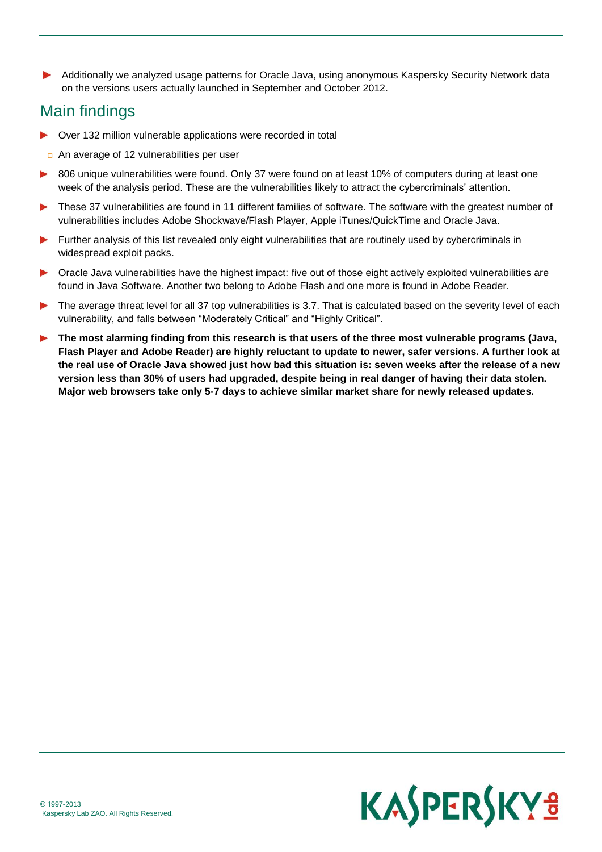$\blacktriangleright$ Additionally we analyzed usage patterns for Oracle Java, using anonymous Kaspersky Security Network data on the versions users actually launched in September and October 2012.

### Main findings

- Over 132 million vulnerable applications were recorded in total
- □ An average of 12 vulnerabilities per user
- 806 unique vulnerabilities were found. Only 37 were found on at least 10% of computers during at least one week of the analysis period. These are the vulnerabilities likely to attract the cybercriminals' attention.
- These 37 vulnerabilities are found in 11 different families of software. The software with the greatest number of vulnerabilities includes Adobe Shockwave/Flash Player, Apple iTunes/QuickTime and Oracle Java.
- Further analysis of this list revealed only eight vulnerabilities that are routinely used by cybercriminals in widespread exploit packs.
- Oracle Java vulnerabilities have the highest impact: five out of those eight actively exploited vulnerabilities are found in Java Software. Another two belong to Adobe Flash and one more is found in Adobe Reader.
- The average threat level for all 37 top vulnerabilities is 3.7. That is calculated based on the severity level of each vulnerability, and falls between "Moderately Critical" and "Highly Critical".
- **The most alarming finding from this research is that users of the three most vulnerable programs (Java, Flash Player and Adobe Reader) are highly reluctant to update to newer, safer versions. A further look at the real use of Oracle Java showed just how bad this situation is: seven weeks after the release of a new version less than 30% of users had upgraded, despite being in real danger of having their data stolen. Major web browsers take only 5-7 days to achieve similar market share for newly released updates.**

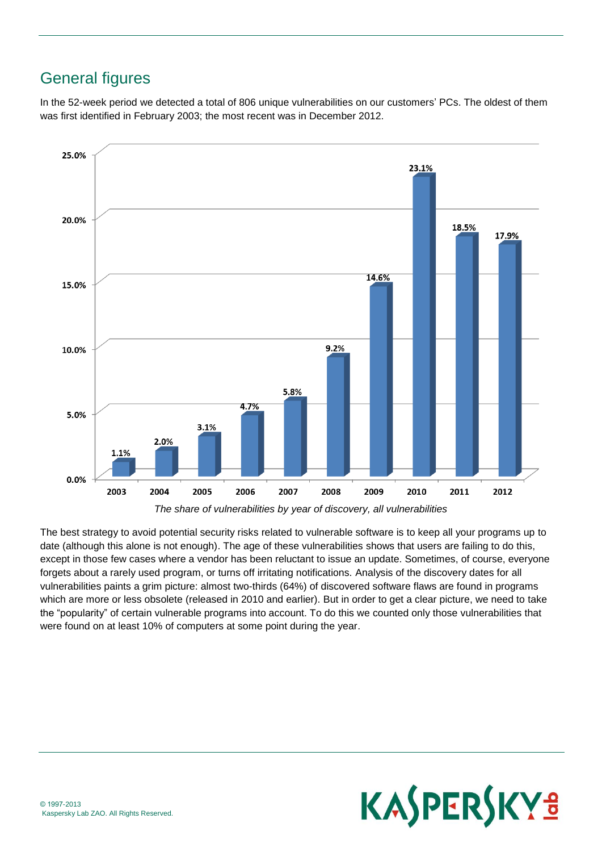## General figures

In the 52-week period we detected a total of 806 unique vulnerabilities on our customers' PCs. The oldest of them was first identified in February 2003; the most recent was in December 2012.



*The share of vulnerabilities by year of discovery, all vulnerabilities*

The best strategy to avoid potential security risks related to vulnerable software is to keep all your programs up to date (although this alone is not enough). The age of these vulnerabilities shows that users are failing to do this, except in those few cases where a vendor has been reluctant to issue an update. Sometimes, of course, everyone forgets about a rarely used program, or turns off irritating notifications. Analysis of the discovery dates for all vulnerabilities paints a grim picture: almost two-thirds (64%) of discovered software flaws are found in programs which are more or less obsolete (released in 2010 and earlier). But in order to get a clear picture, we need to take the "popularity" of certain vulnerable programs into account. To do this we counted only those vulnerabilities that were found on at least 10% of computers at some point during the year.

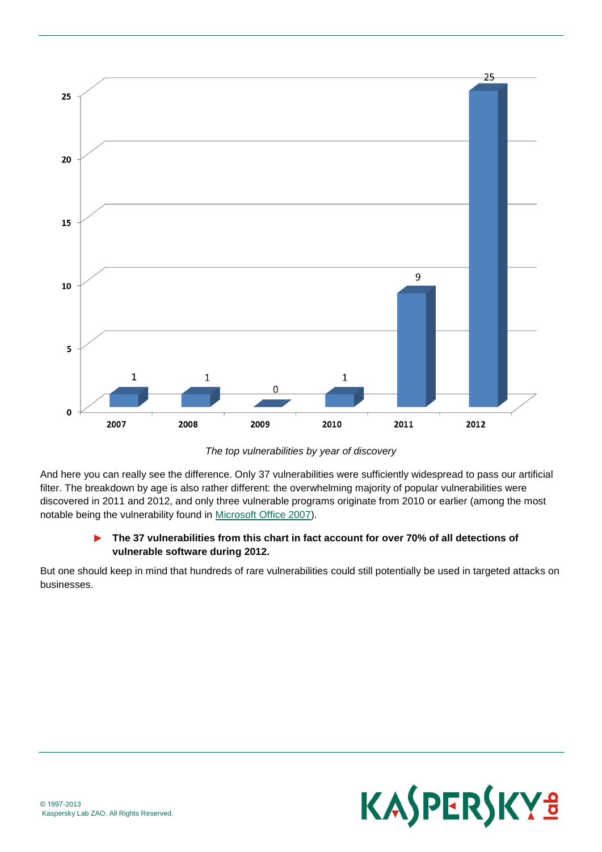

*The top vulnerabilities by year of discovery*

And here you can really see the difference. Only 37 vulnerabilities were sufficiently widespread to pass our artificial filter. The breakdown by age is also rather different: the overwhelming majority of popular vulnerabilities were discovered in 2011 and 2012, and only three vulnerable programs originate from 2010 or earlier (among the most notable being the vulnerability found in [Microsoft Office 2007\)](http://www.securelist.com/en/advisories/23655).

#### **The 37 vulnerabilities from this chart in fact account for over 70% of all detections of**   $\blacktriangleright$ **vulnerable software during 2012.**

But one should keep in mind that hundreds of rare vulnerabilities could still potentially be used in targeted attacks on businesses.

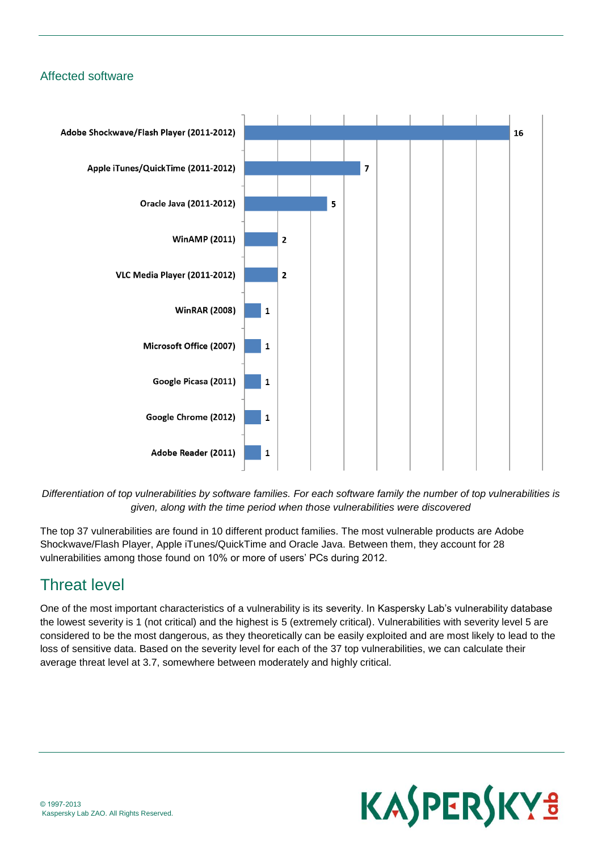#### Affected software



*Differentiation of top vulnerabilities by software families. For each software family the number of top vulnerabilities is given, along with the time period when those vulnerabilities were discovered*

The top 37 vulnerabilities are found in 10 different product families. The most vulnerable products are Adobe Shockwave/Flash Player, Apple iTunes/QuickTime and Oracle Java. Between them, they account for 28 vulnerabilities among those found on 10% or more of users' PCs during 2012.

## Threat level

One of the most important characteristics of a vulnerability is its severity. In Kaspersky Lab's vulnerability database the lowest severity is 1 (not critical) and the highest is 5 (extremely critical). Vulnerabilities with severity level 5 are considered to be the most dangerous, as they theoretically can be easily exploited and are most likely to lead to the loss of sensitive data. Based on the severity level for each of the 37 top vulnerabilities, we can calculate their average threat level at 3.7, somewhere between moderately and highly critical.

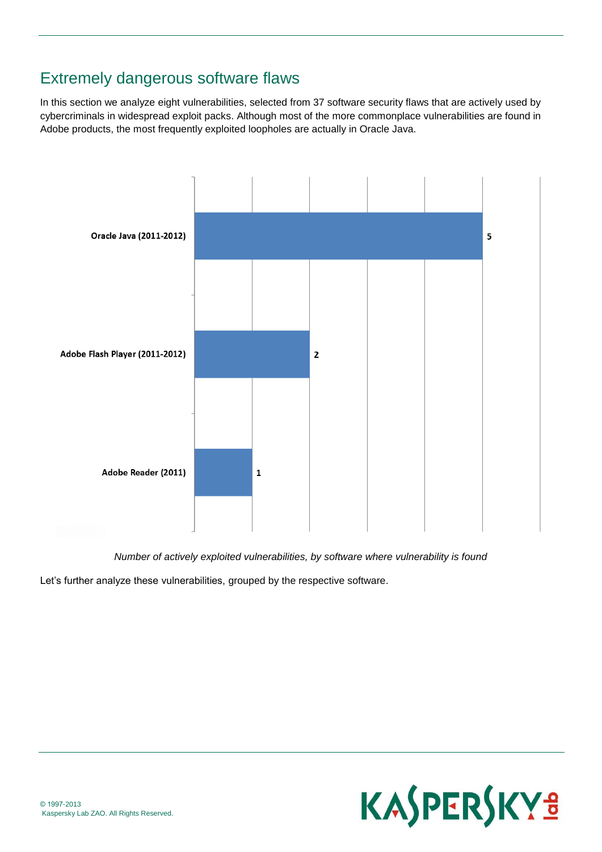## Extremely dangerous software flaws

In this section we analyze eight vulnerabilities, selected from 37 software security flaws that are actively used by cybercriminals in widespread exploit packs. Although most of the more commonplace vulnerabilities are found in Adobe products, the most frequently exploited loopholes are actually in Oracle Java.



*Number of actively exploited vulnerabilities, by software where vulnerability is found*

Let's further analyze these vulnerabilities, grouped by the respective software.

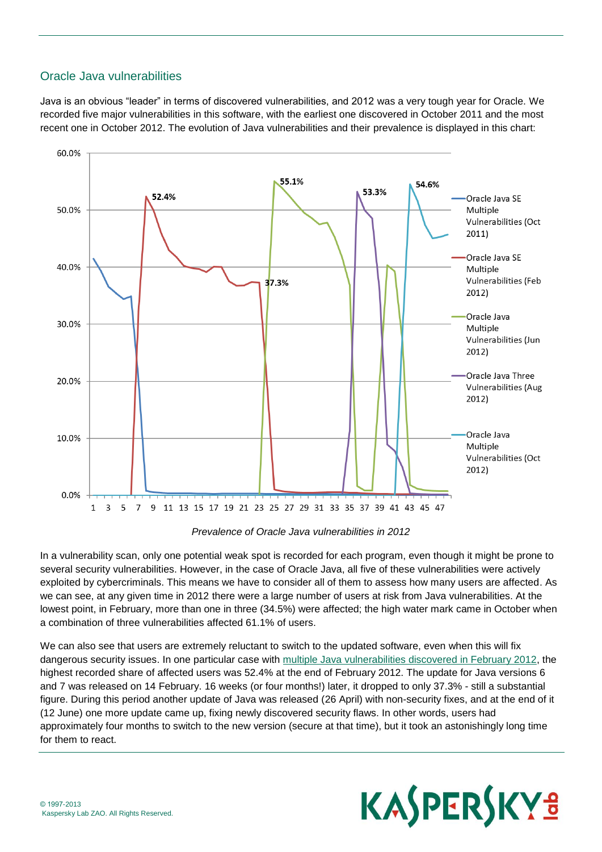#### Oracle Java vulnerabilities

Java is an obvious "leader" in terms of discovered vulnerabilities, and 2012 was a very tough year for Oracle. We recorded five major vulnerabilities in this software, with the earliest one discovered in October 2011 and the most recent one in October 2012. The evolution of Java vulnerabilities and their prevalence is displayed in this chart:



*Prevalence of Oracle Java vulnerabilities in 2012*

In a vulnerability scan, only one potential weak spot is recorded for each program, even though it might be prone to several security vulnerabilities. However, in the case of Oracle Java, all five of these vulnerabilities were actively exploited by cybercriminals. This means we have to consider all of them to assess how many users are affected. As we can see, at any given time in 2012 there were a large number of users at risk from Java vulnerabilities. At the lowest point, in February, more than one in three (34.5%) were affected; the high water mark came in October when a combination of three vulnerabilities affected 61.1% of users.

We can also see that users are extremely reluctant to switch to the updated software, even when this will fix dangerous security issues. In one particular case with [multiple Java vulnerabilities discovered in February 2012,](http://www.securelist.com/en/advisories/48009) the highest recorded share of affected users was 52.4% at the end of February 2012. The update for Java versions 6 and 7 was released on 14 February. 16 weeks (or four months!) later, it dropped to only 37.3% - still a substantial figure. During this period another update of Java was released (26 April) with non-security fixes, and at the end of it (12 June) one more update came up, fixing newly discovered security flaws. In other words, users had approximately four months to switch to the new version (secure at that time), but it took an astonishingly long time for them to react.

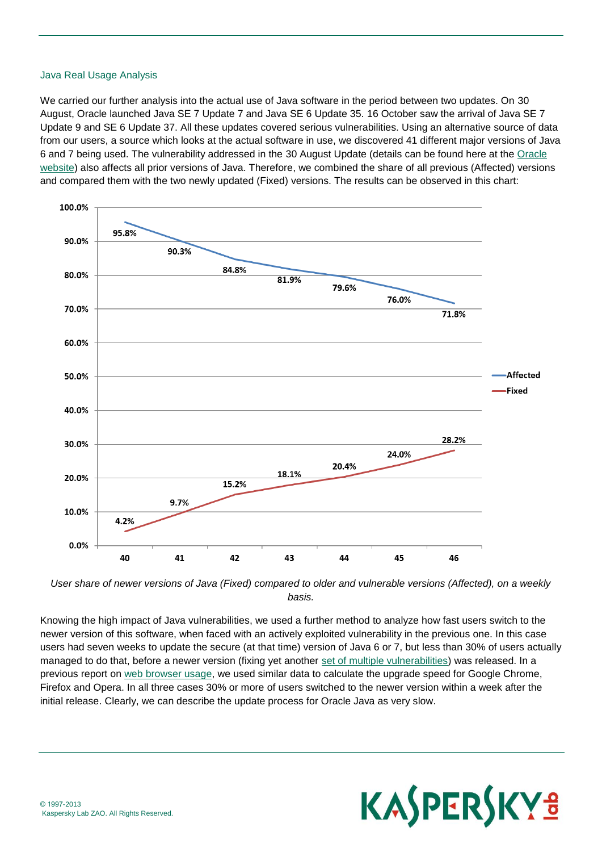#### Java Real Usage Analysis

We carried our further analysis into the actual use of Java software in the period between two updates. On 30 August, Oracle launched Java SE 7 Update 7 and Java SE 6 Update 35. 16 October saw the arrival of Java SE 7 Update 9 and SE 6 Update 37. All these updates covered serious vulnerabilities. Using an alternative source of data from our users, a source which looks at the actual software in use, we discovered 41 different major versions of Java 6 and 7 being used. The vulnerability addressed in the 30 August Update (details can be found here at the [Oracle](http://www.oracle.com/technetwork/topics/security/alert-cve-2012-4681-1835715.html)  [website\)](http://www.oracle.com/technetwork/topics/security/alert-cve-2012-4681-1835715.html) also affects all prior versions of Java. Therefore, we combined the share of all previous (Affected) versions and compared them with the two newly updated (Fixed) versions. The results can be observed in this chart:



*User share of newer versions of Java (Fixed) compared to older and vulnerable versions (Affected), on a weekly basis.*

Knowing the high impact of Java vulnerabilities, we used a further method to analyze how fast users switch to the newer version of this software, when faced with an actively exploited vulnerability in the previous one. In this case users had seven weeks to update the secure (at that time) version of Java 6 or 7, but less than 30% of users actually managed to do that, before a newer version (fixing yet another [set of multiple vulnerabilities\)](http://www.securelist.com/en/advisories/50949) was released. In a previous report on [web browser usage,](http://www.kaspersky.com/images/Kaspersky_Report_Browser_Usage_ENG_Final.pdf) we used similar data to calculate the upgrade speed for Google Chrome, Firefox and Opera. In all three cases 30% or more of users switched to the newer version within a week after the initial release. Clearly, we can describe the update process for Oracle Java as very slow.

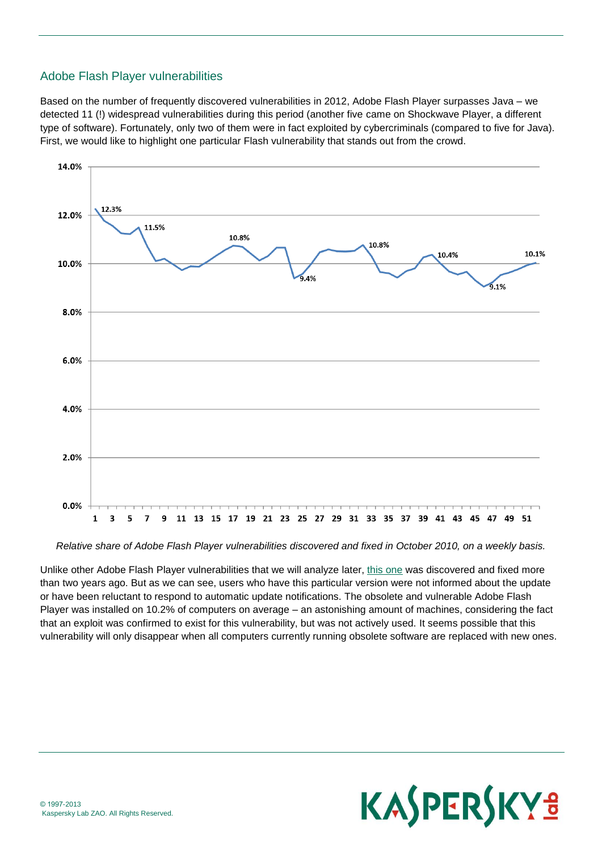#### Adobe Flash Player vulnerabilities

Based on the number of frequently discovered vulnerabilities in 2012, Adobe Flash Player surpasses Java – we detected 11 (!) widespread vulnerabilities during this period (another five came on Shockwave Player, a different type of software). Fortunately, only two of them were in fact exploited by cybercriminals (compared to five for Java). First, we would like to highlight one particular Flash vulnerability that stands out from the crowd.



*Relative share of Adobe Flash Player vulnerabilities discovered and fixed in October 2010, on a weekly basis.*

Unlike other Adobe Flash Player vulnerabilities that we will analyze later, [this one](http://www.securelist.com/en/advisories/41917) was discovered and fixed more than two years ago. But as we can see, users who have this particular version were not informed about the update or have been reluctant to respond to automatic update notifications. The obsolete and vulnerable Adobe Flash Player was installed on 10.2% of computers on average – an astonishing amount of machines, considering the fact that an exploit was confirmed to exist for this vulnerability, but was not actively used. It seems possible that this vulnerability will only disappear when all computers currently running obsolete software are replaced with new ones.

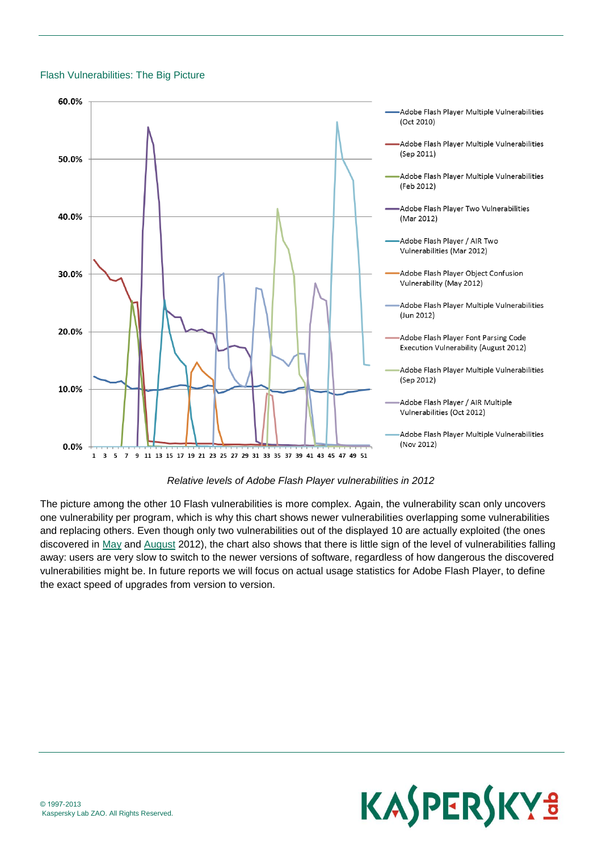#### Flash Vulnerabilities: The Big Picture



*Relative levels of Adobe Flash Player vulnerabilities in 2012*

The picture among the other 10 Flash vulnerabilities is more complex. Again, the vulnerability scan only uncovers one vulnerability per program, which is why this chart shows newer vulnerabilities overlapping some vulnerabilities and replacing others. Even though only two vulnerabilities out of the displayed 10 are actually exploited (the ones discovered in [May](http://www.securelist.com/en/advisories/49096) and [August](http://www.securelist.com/en/advisories/50354) 2012), the chart also shows that there is little sign of the level of vulnerabilities falling away: users are very slow to switch to the newer versions of software, regardless of how dangerous the discovered vulnerabilities might be. In future reports we will focus on actual usage statistics for Adobe Flash Player, to define the exact speed of upgrades from version to version.

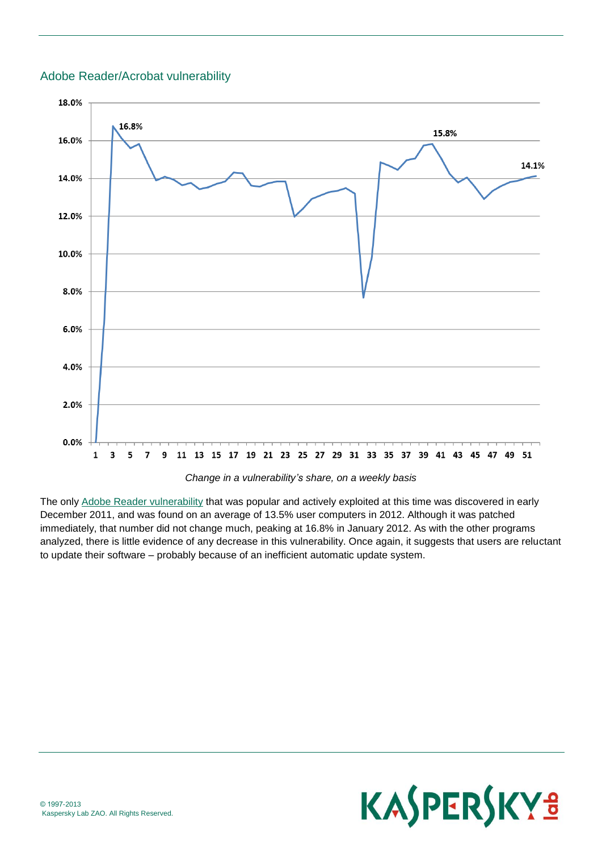#### Adobe Reader/Acrobat vulnerability



*Change in a vulnerability's share, on a weekly basis*

The only [Adobe Reader](http://www.securelist.com/en/advisories/47133) vulnerability that was popular and actively exploited at this time was discovered in early December 2011, and was found on an average of 13.5% user computers in 2012. Although it was patched immediately, that number did not change much, peaking at 16.8% in January 2012. As with the other programs analyzed, there is little evidence of any decrease in this vulnerability. Once again, it suggests that users are reluctant to update their software – probably because of an inefficient automatic update system.

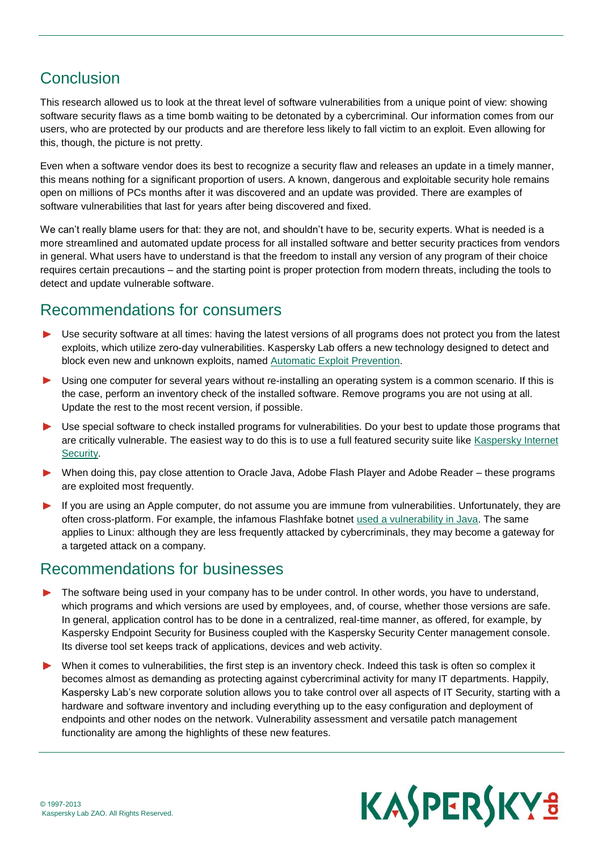## **Conclusion**

This research allowed us to look at the threat level of software vulnerabilities from a unique point of view: showing software security flaws as a time bomb waiting to be detonated by a cybercriminal. Our information comes from our users, who are protected by our products and are therefore less likely to fall victim to an exploit. Even allowing for this, though, the picture is not pretty.

Even when a software vendor does its best to recognize a security flaw and releases an update in a timely manner, this means nothing for a significant proportion of users. A known, dangerous and exploitable security hole remains open on millions of PCs months after it was discovered and an update was provided. There are examples of software vulnerabilities that last for years after being discovered and fixed.

We can't really blame users for that: they are not, and shouldn't have to be, security experts. What is needed is a more streamlined and automated update process for all installed software and better security practices from vendors in general. What users have to understand is that the freedom to install any version of any program of their choice requires certain precautions – and the starting point is proper protection from modern threats, including the tools to detect and update vulnerable software.

### Recommendations for consumers

- Use security software at all times: having the latest versions of all programs does not protect you from the latest  $\blacktriangleright$ exploits, which utilize zero-day vulnerabilities. Kaspersky Lab offers a new technology designed to detect and block even new and unknown exploits, named [Automatic Exploit Prevention.](http://www.kaspersky.com/downloads/pdf/kaspersky_lab_whitepaper_automatic_exploit_prevention_eng_final.pdf)
- Using one computer for several years without re-installing an operating system is a common scenario. If this is the case, perform an inventory check of the installed software. Remove programs you are not using at all. Update the rest to the most recent version, if possible.
- Use special software to check installed programs for vulnerabilities. Do your best to update those programs that are critically vulnerable. The easiest way to do this is to use a full featured security suite like [Kaspersky Internet](http://www.kaspersky.com/internet-security)  [Security.](http://www.kaspersky.com/internet-security)
- When doing this, pay close attention to Oracle Java, Adobe Flash Player and Adobe Reader these programs  $\blacktriangleright$ are exploited most frequently.
- If you are using an Apple computer, do not assume you are immune from vulnerabilities. Unfortunately, they are often cross-platform. For example, the infamous Flashfake botnet used a [vulnerability in Java.](http://www.securelist.com/en/analysis/204792227/The_anatomy_of_Flashfake_Part_1) The same applies to Linux: although they are less frequently attacked by cybercriminals, they may become a gateway for a targeted attack on a company.

### Recommendations for businesses

- The software being used in your company has to be under control. In other words, you have to understand, which programs and which versions are used by employees, and, of course, whether those versions are safe. In general, application control has to be done in a centralized, real-time manner, as offered, for example, by Kaspersky Endpoint Security for Business coupled with the Kaspersky Security Center management console. Its diverse tool set keeps track of applications, devices and web activity.
- When it comes to vulnerabilities, the first step is an inventory check. Indeed this task is often so complex it  $\blacktriangleright$ becomes almost as demanding as protecting against cybercriminal activity for many IT departments. Happily, Kaspersky Lab's new corporate solution allows you to take control over all aspects of IT Security, starting with a hardware and software inventory and including everything up to the easy configuration and deployment of endpoints and other nodes on the network. Vulnerability assessment and versatile patch management functionality are among the highlights of these new features.